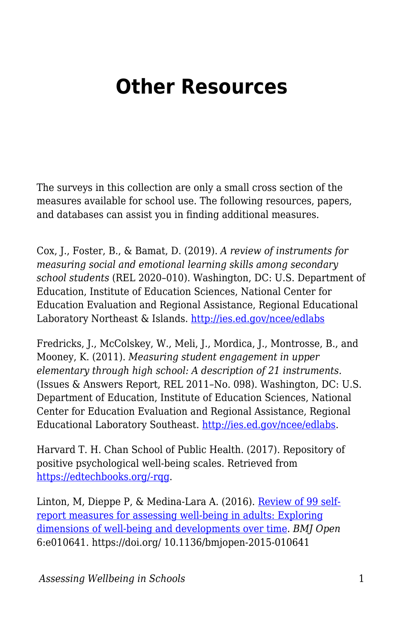## **Other Resources**

The surveys in this collection are only a small cross section of the measures available for school use. The following resources, papers, and databases can assist you in finding additional measures.

Cox, J., Foster, B., & Bamat, D. (2019). *A review of instruments for measuring social and emotional learning skills among secondary school students* (REL 2020–010). Washington, DC: U.S. Department of Education, Institute of Education Sciences, National Center for Education Evaluation and Regional Assistance, Regional Educational Laboratory Northeast & Islands.<http://ies.ed.gov/ncee/edlabs>

Fredricks, J., McColskey, W., Meli, J., Mordica, J., Montrosse, B., and Mooney, K. (2011). *Measuring student engagement in upper elementary through high school: A description of 21 instruments.* (Issues & Answers Report, REL 2011–No. 098). Washington, DC: U.S. Department of Education, Institute of Education Sciences, National Center for Education Evaluation and Regional Assistance, Regional Educational Laboratory Southeast.<http://ies.ed.gov/ncee/edlabs>.

Harvard T. H. Chan School of Public Health. (2017). Repository of positive psychological well-being scales. Retrieved from [https://edtechbooks.org/-rqg](https://www.hsph.harvard.edu/health-happiness/repository-of-positive-psychological-well-being-scales/).

Linton, M, Dieppe P, & Medina-Lara A. (2016). [Review of 99 self](https://bmjopen.bmj.com/content/6/7/e010641)[report measures for assessing well-being in adults: Exploring](https://bmjopen.bmj.com/content/6/7/e010641) [dimensions of well-being and developments over time.](https://bmjopen.bmj.com/content/6/7/e010641) *BMJ Open* 6:e010641. https://doi.org/ 10.1136/bmjopen-2015-010641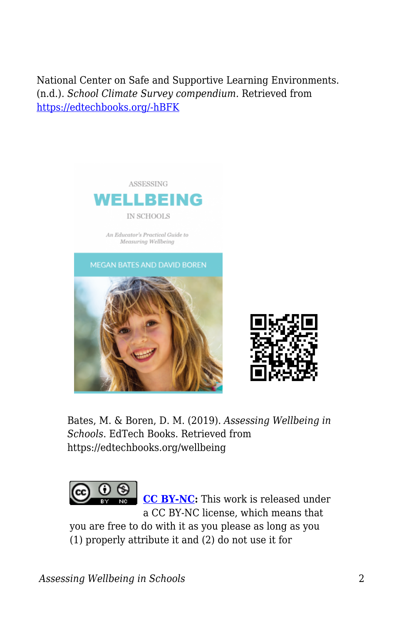National Center on Safe and Supportive Learning Environments. (n.d.). *School Climate Survey compendium.* Retrieved from [https://edtechbooks.org/-hBFK](https://safesupportivelearning.ed.gov/topic-research/school-climate-measurement/school-climate-survey-compendium)



Bates, M. & Boren, D. M. (2019). *Assessing Wellbeing in Schools*. EdTech Books. Retrieved from https://edtechbooks.org/wellbeing



**[CC BY-NC:](https://creativecommons.org/licenses/by-nc/4.0)** This work is released under a CC BY-NC license, which means that

you are free to do with it as you please as long as you (1) properly attribute it and (2) do not use it for